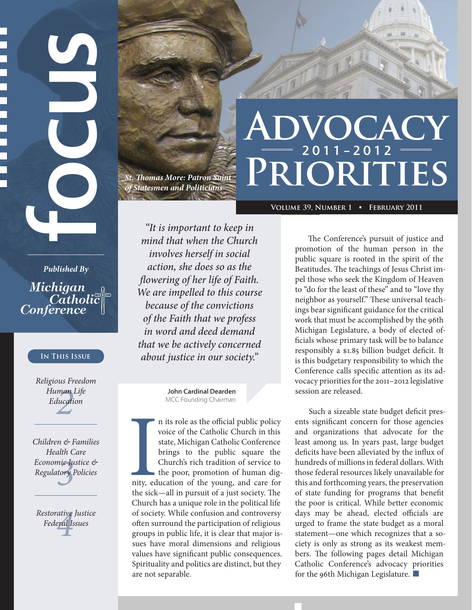## *of Statesmen and Politicians*

*St. Thomas More: Patron Saint* 

# **VOCACY** 2011–2012 **Priorities**

**Volume 39, Number 1** ■ **February 2011**

*"It is important to keep in mind that when the Church involves herself in social action, she does so as the flowering of her life of Faith. We are impelled to this course because of the convictions of the Faith that we profess in word and deed demand that we be actively concerned about justice in our society."*

> John Cardinal Dearden MCC Founding Chairman

n its role as the official public policy voice of the Catholic Church in this state, Michigan Catholic Conference brings to the public square the Church's rich tradition of service to the poor, promotion of human dignity, education of the young, and care for the sick—all in pursuit of a just society. The Church has a unique role in the political life of society. While confusion and controversy often surround the participation of religious groups in public life, it is clear that major issues have moral dimensions and religious values have significant public consequences. Spirituality and politics are distinct, but they are not separable.

The Conference's pursuit of justice and promotion of the human person in the public square is rooted in the spirit of the Beatitudes. The teachings of Jesus Christ impel those who seek the Kingdom of Heaven to "do for the least of these" and to "love thy neighbor as yourself." These universal teachings bear significant guidance for the critical work that must be accomplished by the 96th Michigan Legislature, a body of elected officials whose primary task will be to balance responsibly a \$1.85 billion budget deficit. It is this budgetary responsibility to which the Conference calls specific attention as its advocacy priorities for the 2011–2012 legislative session are released.

Such a sizeable state budget deficit presents significant concern for those agencies and organizations that advocate for the least among us. In years past, large budget deficits have been alleviated by the influx of hundreds of millions in federal dollars. With those federal resources likely unavailable for this and forthcoming years, the preservation of state funding for programs that benefit the poor is critical. While better economic days may be ahead, elected officials are urged to frame the state budget as a moral statement—one which recognizes that a society is only as strong as its weakest members. The following pages detail Michigan Catholic Conference's advocacy priorities for the 96th Michigan Legislature.■

**Fublished By<br>** *Fublished By*<br> *Michigan*<br> *Catholic Conference*<br>
IN THIS ISSUE<br>
Religious Freedom<br>
Human Life<br>
Education<br>
<br>
Children & Familie<br>
Health Care<br>
Economic Justice<br>
Regulatory Policies<br>
Restorative Justice<br>
Res *Published By* Michigan Catholi Conference

#### **In This Issue**

*2 Human Life Religious Freedom Education*

*<sup>3</sup>* I *Children & Families Health Care Economic Justice & Regulatory Policies*

*4 Restorative Justice*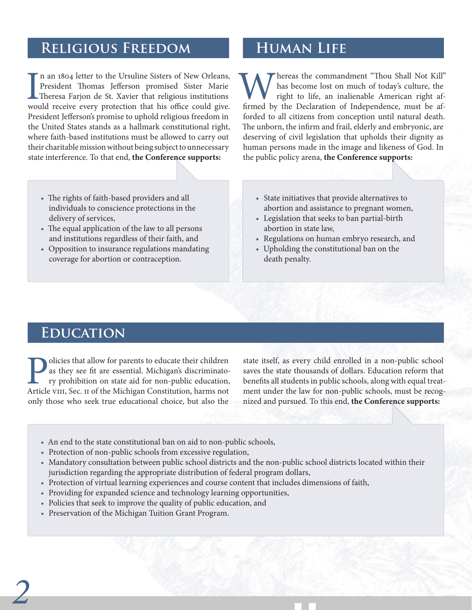#### **Religious Freedom**

In an 1804 letter to the Ursuline Sisters of New Orleans,<br>President Thomas Jefferson promised Sister Marie<br>Theresa Farjon de St. Xavier that religious institutions<br>would receive every protection that his office could give. n an 1804 letter to the Ursuline Sisters of New Orleans, President Thomas Jefferson promised Sister Marie Theresa Farjon de St. Xavier that religious institutions President Jefferson's promise to uphold religious freedom in the United States stands as a hallmark constitutional right, where faith-based institutions must be allowed to carry out their charitable mission without being subject to unnecessary state interference. To that end, **the Conference supports:**

- • The rights of faith-based providers and all individuals to conscience protections in the delivery of services,
- • The equal application of the law to all persons and institutions regardless of their faith, and
- • Opposition to insurance regulations mandating coverage for abortion or contraception.

#### **Human Life**

**W** has become lost on much of today's culture, the right to life, an inalienable American right affirmed by the Declaration of Independence, must be afhas become lost on much of today's culture, the right to life, an inalienable American right afforded to all citizens from conception until natural death. The unborn, the infirm and frail, elderly and embryonic, are deserving of civil legislation that upholds their dignity as human persons made in the image and likeness of God. In the public policy arena, **the Conference supports:**

- • State initiatives that provide alternatives to abortion and assistance to pregnant women,
- • Legislation that seeks to ban partial-birth abortion in state law,
- • Regulations on human embryo research, and
- • Upholding the constitutional ban on the death penalty.

#### **Education**

**Policies that allow for parents to educate their children** as they see fit are essential. Michigan's discriminatory prohibition on state aid for non-public education, Article VIII, Sec. II of the Michigan Constitution, ha as they see fit are essential. Michigan's discriminatory prohibition on state aid for non-public education, Article VIII, Sec. II of the Michigan Constitution, harms not only those who seek true educational choice, but also the

state itself, as every child enrolled in a non-public school saves the state thousands of dollars. Education reform that benefits all students in public schools, along with equal treatment under the law for non-public schools, must be recognized and pursued. To this end, **the Conference supports:**

- An end to the state constitutional ban on aid to non-public schools,
- • Protection of non-public schools from excessive regulation,
- Mandatory consultation between public school districts and the non-public school districts located within their jurisdiction regarding the appropriate distribution of federal program dollars,
- • Protection of virtual learning experiences and course content that includes dimensions of faith,
- • Providing for expanded science and technology learning opportunities,
- Policies that seek to improve the quality of public education, and
- Preservation of the Michigan Tuition Grant Program.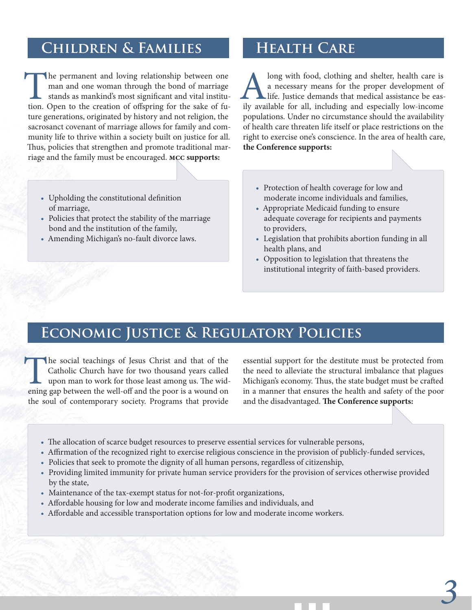#### **Children & Families**

The permanent and loving relationship between one man and one woman through the bond of marriage stands as mankind's most significant and vital institution. Open to the creation of offspring for the sake of future generations, originated by history and not religion, the sacrosanct covenant of marriage allows for family and community life to thrive within a society built on justice for all. Thus, policies that strengthen and promote traditional marriage and the family must be encouraged. **MCC supports:**

- • Upholding the constitutional definition of marriage,
- • Policies that protect the stability of the marriage bond and the institution of the family,
- • Amending Michigan's no-fault divorce laws.

### **Health Care**

Along with food, clothing and shelter, health care is<br>
a necessary means for the proper development of<br>
life. Justice demands that medical assistance be eas-<br>
ily available for all, including and especially low-income a necessary means for the proper development of life. Justice demands that medical assistance be easpopulations. Under no circumstance should the availability of health care threaten life itself or place restrictions on the right to exercise one's conscience. In the area of health care, **the Conference supports:**

- Protection of health coverage for low and moderate income individuals and families,
- Appropriate Medicaid funding to ensure adequate coverage for recipients and payments to providers,
- • Legislation that prohibits abortion funding in all health plans, and
- • Opposition to legislation that threatens the institutional integrity of faith-based providers.

#### **Economic Justice & Regulatory Policies**

The social teachings of Jesus Christ and that of the Catholic Church have for two thousand years called upon man to work for those least among us. The widening gap between the well-off and the poor is a wound on Catholic Church have for two thousand years called upon man to work for those least among us. The widening gap between the well-off and the poor is a wound on the soul of contemporary society. Programs that provide

essential support for the destitute must be protected from the need to alleviate the structural imbalance that plagues Michigan's economy. Thus, the state budget must be crafted in a manner that ensures the health and safety of the poor and the disadvantaged. **The Conference supports:**

*3*

- • The allocation of scarce budget resources to preserve essential services for vulnerable persons,
- • Affirmation of the recognized right to exercise religious conscience in the provision of publicly-funded services,
- • Policies that seek to promote the dignity of all human persons, regardless of citizenship,
- • Providing limited immunity for private human service providers for the provision of services otherwise provided by the state,
- Maintenance of the tax-exempt status for not-for-profit organizations,
- Affordable housing for low and moderate income families and individuals, and
- Affordable and accessible transportation options for low and moderate income workers.